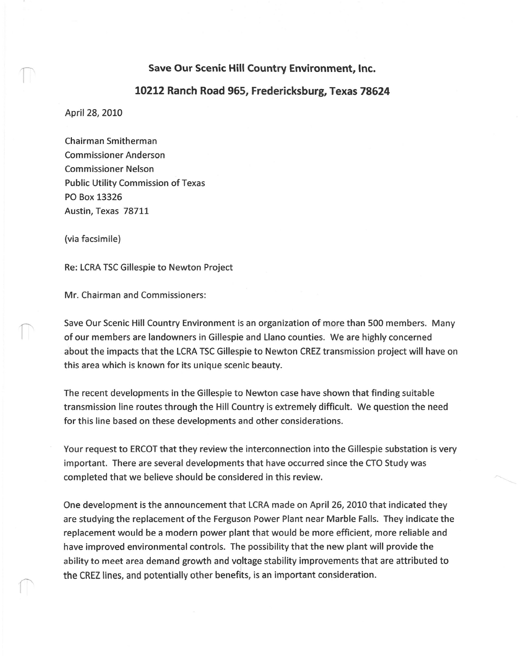## **Save Our Scenic Hill Country Environment, Inc.**

## **10212 Ranch Road 965, Fredericksburg, Texas 78624**

April 28, 2010

Chairman Smitherman Commissioner Anderson Commissioner Nelson Public Utility Commission of Texas PO Box 13326 Austin, Texas 78711

(via facsimile)

Re: LCRA TSC Gillespie to Newton Project

Mr. Chairman and Commissioners:

Save Our Scenic Hill Country Environment is an organization of more than 500 members. Many of our members are landowners in Gillespie and Llano counties. We are highly concerned about the impacts that the LCRA TSC Gillespie to Newton CREZ transmission project will have on this area which is known for its unique scenic beauty.

The recent developments in the Gillespie to Newton case have shown that finding suitable transmission line routes through the Hill Country is extremely difficult. We question the need for this line based on these developments and other considerations.

Your request to ERCOT that they review the interconnection into the Gillespie substation is very important. There are several developments that have occurred since the CTO Study was completed that we believe should be considered in this review.

One development is the announcement that LCRAmade on April 26, 2010 that indicated they are studying the replacement of the Ferguson Power Plant near Marble Falls. They indicate the replacement would be a modern power plant that would be more efficient, more reliable and have improved environmental controls. The possibility that the new plant will provide the ability to meet area demand growth and voltage stability improvements that are attributed to the CREZ lines, and potentially other benefits, is an important consideration.